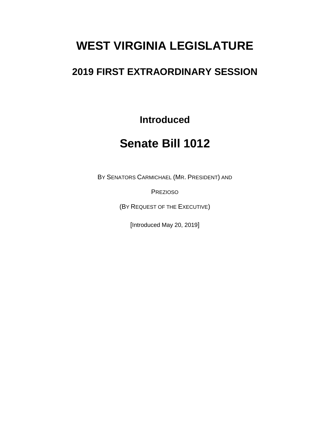# **WEST VIRGINIA LEGISLATURE**

# **2019 FIRST EXTRAORDINARY SESSION**

**Introduced**

# **Senate Bill 1012**

BY SENATORS CARMICHAEL (MR. PRESIDENT) AND

PREZIOSO

(BY REQUEST OF THE EXECUTIVE)

[Introduced May 20, 2019]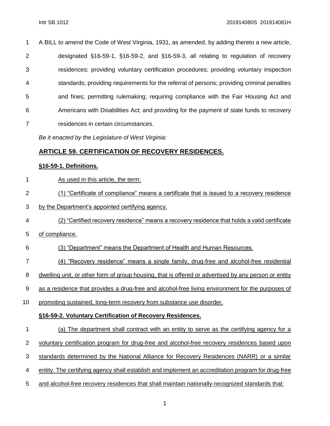A BILL to amend the Code of West Virginia, 1931, as amended, by adding thereto a new article, designated §16-59-1, §16-59-2, and §16-59-3, all relating to regulation of recovery residences; providing voluntary certification procedures; providing voluntary inspection standards; providing requirements for the referral of persons; providing criminal penalties and fines; permitting rulemaking; requiring compliance with the Fair Housing Act and Americans with Disabilities Act; and providing for the payment of state funds to recovery residences in certain circumstances.

*Be it enacted by the Legislature of West Virginia:*

## **ARTICLE 59. CERTIFICATION OF RECOVERY RESIDENCES.**

### **§16-59-1. Definitions.**

- As used in this article, the term:
- (1) "Certificate of compliance" means a certificate that is issued to a recovery residence
- by the Department's appointed certifying agency.
- (2) "Certified recovery residence" means a recovery residence that holds a valid certificate
- of compliance.
- (3) "Department" means the Department of Health and Human Resources.
- (4) "Recovery residence" means a single family, drug-free and alcohol-free residential
- dwelling unit, or other form of group housing, that is offered or advertised by any person or entity
- as a residence that provides a drug-free and alcohol-free living environment for the purposes of
- promoting sustained, long-term recovery from substance use disorder.

### **§16-59-2. Voluntary Certification of Recovery Residences.**

- (a) The department shall contract with an entity to serve as the certifying agency for a
- 2 voluntary certification program for drug-free and alcohol-free recovery residences based upon
- standards determined by the National Alliance for Recovery Residences (NARR) or a similar
- entity. The certifying agency shall establish and implement an accreditation program for drug-free
- and alcohol-free recovery residences that shall maintain nationally-recognized standards that: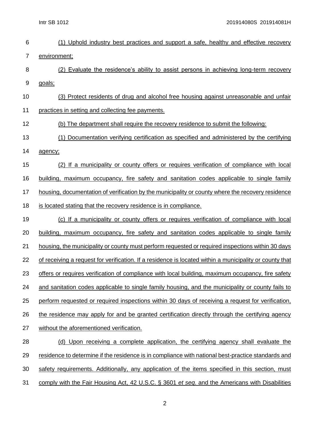Intr SB 1012 201914080S 201914081H

| 6  | (1) Uphold industry best practices and support a safe, healthy and effective recovery                   |
|----|---------------------------------------------------------------------------------------------------------|
| 7  | environment;                                                                                            |
| 8  | (2) Evaluate the residence's ability to assist persons in achieving long-term recovery                  |
| 9  | goals;                                                                                                  |
| 10 | (3) Protect residents of drug and alcohol free housing against unreasonable and unfair                  |
| 11 | practices in setting and collecting fee payments.                                                       |
| 12 | (b) The department shall require the recovery residence to submit the following:                        |
| 13 | (1) Documentation verifying certification as specified and administered by the certifying               |
| 14 | agency;                                                                                                 |
| 15 | (2) If a municipality or county offers or requires verification of compliance with local                |
| 16 | <u>building, maximum occupancy, fire safety and sanitation codes applicable to single family</u>        |
| 17 | housing, documentation of verification by the municipality or county where the recovery residence       |
| 18 | is located stating that the recovery residence is in compliance.                                        |
| 19 | (c) If a municipality or county offers or requires verification of compliance with local                |
| 20 | building, maximum occupancy, fire safety and sanitation codes applicable to single family               |
| 21 | housing, the municipality or county must perform requested or required inspections within 30 days       |
| 22 | of receiving a request for verification. If a residence is located within a municipality or county that |
| 23 | offers or requires verification of compliance with local building, maximum occupancy, fire safety       |
| 24 | and sanitation codes applicable to single family housing, and the municipality or county fails to       |
| 25 | perform requested or required inspections within 30 days of receiving a request for verification.       |
| 26 | the residence may apply for and be granted certification directly through the certifying agency         |
| 27 | without the aforementioned verification.                                                                |
| 28 | (d) Upon receiving a complete application, the certifying agency shall evaluate the                     |
| 29 | residence to determine if the residence is in compliance with national best-practice standards and      |
| 30 | safety requirements. Additionally, any application of the items specified in this section, must         |
| 31 | comply with the Fair Housing Act, 42 U.S.C. § 3601 et seq. and the Americans with Disabilities          |

2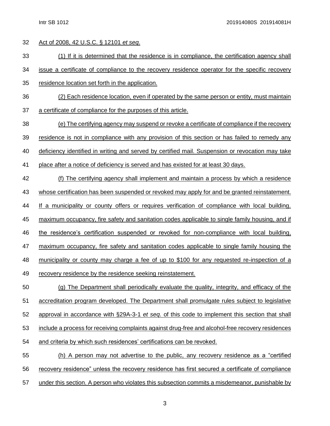Act of 2008, 42 U.S.C. § 12101 *et seq*.

(1) If it is determined that the residence is in compliance, the certification agency shall

issue a certificate of compliance to the recovery residence operator for the specific recovery

- residence location set forth in the application.
- (2) Each residence location, even if operated by the same person or entity, must maintain
- a certificate of compliance for the purposes of this article.
- (e) The certifying agency may suspend or revoke a certificate of compliance if the recovery
- residence is not in compliance with any provision of this section or has failed to remedy any
- deficiency identified in writing and served by certified mail. Suspension or revocation may take
- place after a notice of deficiency is served and has existed for at least 30 days.
- (f) The certifying agency shall implement and maintain a process by which a residence 43 whose certification has been suspended or revoked may apply for and be granted reinstatement. If a municipality or county offers or requires verification of compliance with local building, maximum occupancy, fire safety and sanitation codes applicable to single family housing, and if the residence's certification suspended or revoked for non-compliance with local building, maximum occupancy, fire safety and sanitation codes applicable to single family housing the 48 municipality or county may charge a fee of up to \$100 for any requested re-inspection of a recovery residence by the residence seeking reinstatement.
- (g) The Department shall periodically evaluate the quality, integrity, and efficacy of the accreditation program developed. The Department shall promulgate rules subject to legislative approval in accordance with §29A-3-1 *et seq*. of this code to implement this section that shall include a process for receiving complaints against drug-free and alcohol-free recovery residences and criteria by which such residences' certifications can be revoked. (h) A person may not advertise to the public, any recovery residence as a "certified
- recovery residence" unless the recovery residence has first secured a certificate of compliance
- under this section. A person who violates this subsection commits a misdemeanor, punishable by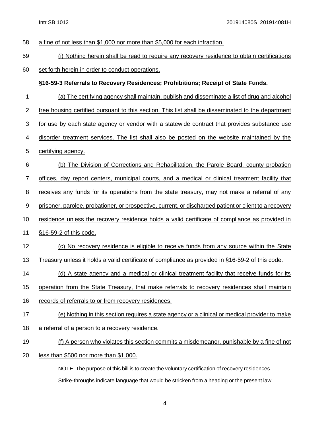- a fine of not less than \$1,000 nor more than \$5,000 for each infraction.
- (i) Nothing herein shall be read to require any recovery residence to obtain certifications
- set forth herein in order to conduct operations.

### **§16-59-3 Referrals to Recovery Residences; Prohibitions; Receipt of State Funds.**

- (a) The certifying agency shall maintain, publish and disseminate a list of drug and alcohol
- free housing certified pursuant to this section. This list shall be disseminated to the department
- for use by each state agency or vendor with a statewide contract that provides substance use
- disorder treatment services. The list shall also be posted on the website maintained by the
- certifying agency.
- (b) The Division of Corrections and Rehabilitation, the Parole Board, county probation
- offices, day report centers, municipal courts, and a medical or clinical treatment facility that
- 8 receives any funds for its operations from the state treasury, may not make a referral of any
- 9 prisoner, parolee, probationer, or prospective, current, or discharged patient or client to a recovery
- residence unless the recovery residence holds a valid certificate of compliance as provided in
- §16-59-2 of this code.
- (c) No recovery residence is eligible to receive funds from any source within the State
- Treasury unless it holds a valid certificate of compliance as provided in §16-59-2 of this code.
- 14 (d) A state agency and a medical or clinical treatment facility that receive funds for its
- operation from the State Treasury, that make referrals to recovery residences shall maintain
- records of referrals to or from recovery residences.
- (e) Nothing in this section requires a state agency or a clinical or medical provider to make
- a referral of a person to a recovery residence.
- (f) A person who violates this section commits a misdemeanor, punishable by a fine of not
- less than \$500 nor more than \$1,000.

NOTE: The purpose of this bill is to create the voluntary certification of recovery residences. Strike-throughs indicate language that would be stricken from a heading or the present law